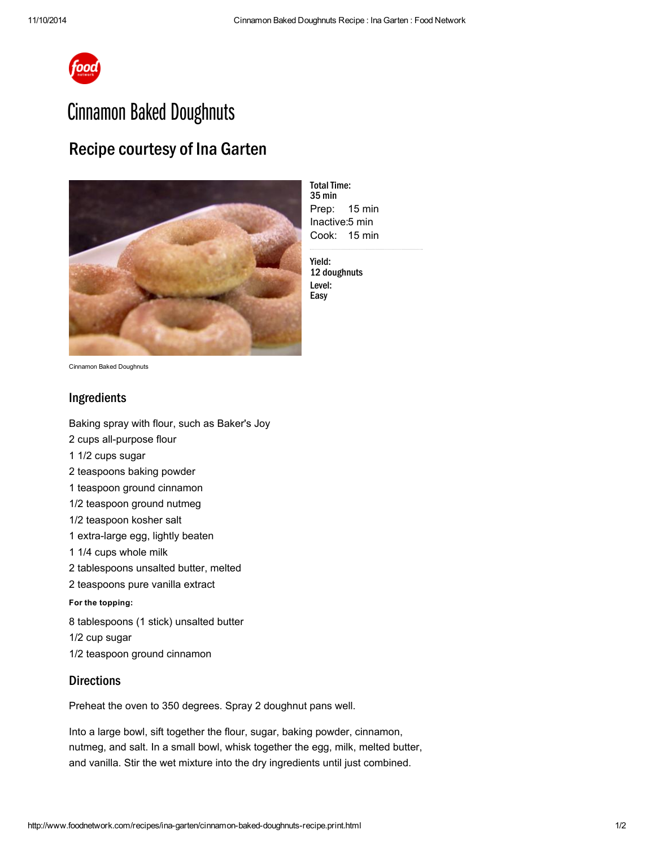

# Cinnamon Baked Doughnuts

## Recipe courtesy of Ina Garten



Prep: Inactive: 5 min Cook: 15 min **Total Time:** 35 min 15 min

Yield: 12 doughnuts Level: Easy

Cinnamon Baked Doughnuts

### Ingredients

Baking spray with flour, such as Baker's Joy

- 2 cups [all-purpose](http://www.foodterms.com/encyclopedia/flour/index.html) flour
- 1 1/2 cups [sugar](http://www.foodterms.com/encyclopedia/sugar/index.html)
- 2 teaspoons baking powder
- 1 teaspoon ground cinnamon
- 1/2 teaspoon ground [nutmeg](http://www.foodterms.com/encyclopedia/nutmeg/index.html)
- 1/2 teaspoon kosher salt
- 1 extra-large egg, lightly beaten
- 1 1/4 cups whole milk
- 2 tablespoons [unsalted](http://www.foodterms.com/encyclopedia/butter/index.html) butter, melted
- 2 teaspoons pure vanilla [extract](http://www.foodterms.com/encyclopedia/extracts/index.html)

#### For the topping:

8 tablespoons (1 stick) unsalted butter 1/2 cup sugar

1/2 teaspoon ground cinnamon

#### **Directions**

Preheat the oven to 350 degrees. Spray 2 doughnut pans well.

Into a large bowl, sift together the flour, sugar, baking powder, cinnamon, nutmeg, and salt. In a small bowl, whisk together the egg, milk, melted butter, and vanilla. Stir the wet mixture into the dry ingredients until just combined.